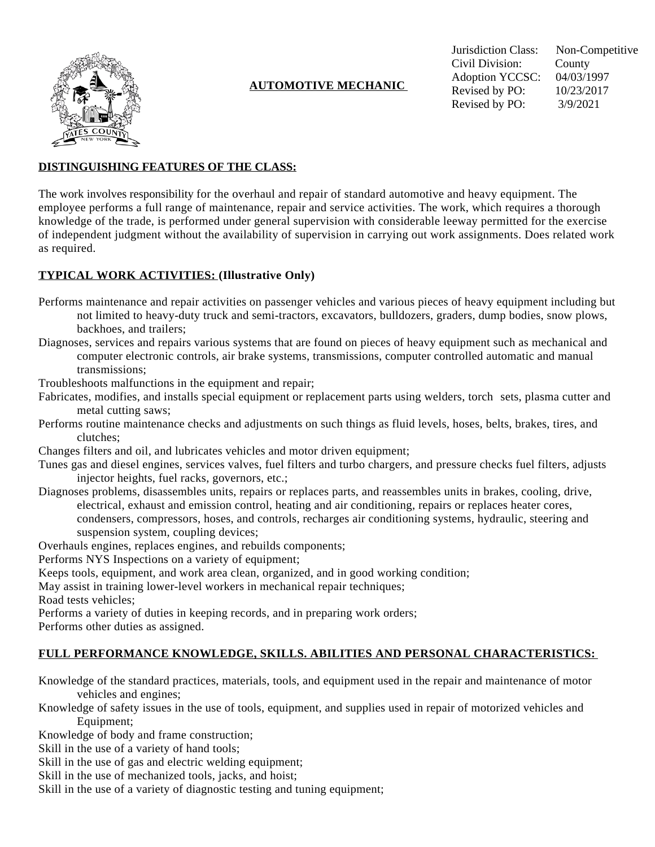

# **AUTOMOTIVE MECHANIC**

Jurisdiction Class: Non-Competitive Civil Division: County Adoption YCCSC: 04/03/1997 Revised by PO: 10/23/2017 Revised by PO: 3/9/2021

### **DISTINGUISHING FEATURES OF THE CLASS:**

The work involves responsibility for the overhaul and repair of standard automotive and heavy equipment. The employee performs a full range of maintenance, repair and service activities. The work, which requires a thorough knowledge of the trade, is performed under general supervision with considerable leeway permitted for the exercise of independent judgment without the availability of supervision in carrying out work assignments. Does related work as required.

### **TYPICAL WORK ACTIVITIES: (Illustrative Only)**

- Performs maintenance and repair activities on passenger vehicles and various pieces of heavy equipment including but not limited to heavy-duty truck and semi-tractors, excavators, bulldozers, graders, dump bodies, snow plows, backhoes, and trailers;
- Diagnoses, services and repairs various systems that are found on pieces of heavy equipment such as mechanical and computer electronic controls, air brake systems, transmissions, computer controlled automatic and manual transmissions;
- Troubleshoots malfunctions in the equipment and repair;
- Fabricates, modifies, and installs special equipment or replacement parts using welders, torch sets, plasma cutter and metal cutting saws;
- Performs routine maintenance checks and adjustments on such things as fluid levels, hoses, belts, brakes, tires, and clutches;
- Changes filters and oil, and lubricates vehicles and motor driven equipment;
- Tunes gas and diesel engines, services valves, fuel filters and turbo chargers, and pressure checks fuel filters, adjusts injector heights, fuel racks, governors, etc.;
- Diagnoses problems, disassembles units, repairs or replaces parts, and reassembles units in brakes, cooling, drive, electrical, exhaust and emission control, heating and air conditioning, repairs or replaces heater cores, condensers, compressors, hoses, and controls, recharges air conditioning systems, hydraulic, steering and suspension system, coupling devices;
- Overhauls engines, replaces engines, and rebuilds components;
- Performs NYS Inspections on a variety of equipment;
- Keeps tools, equipment, and work area clean, organized, and in good working condition;
- May assist in training lower-level workers in mechanical repair techniques;

Road tests vehicles;

Performs a variety of duties in keeping records, and in preparing work orders;

Performs other duties as assigned.

#### **FULL PERFORMANCE KNOWLEDGE, SKILLS. ABILITIES AND PERSONAL CHARACTERISTICS:**

- Knowledge of the standard practices, materials, tools, and equipment used in the repair and maintenance of motor vehicles and engines;
- Knowledge of safety issues in the use of tools, equipment, and supplies used in repair of motorized vehicles and Equipment;
- Knowledge of body and frame construction;
- Skill in the use of a variety of hand tools;
- Skill in the use of gas and electric welding equipment;
- Skill in the use of mechanized tools, jacks, and hoist;
- Skill in the use of a variety of diagnostic testing and tuning equipment;